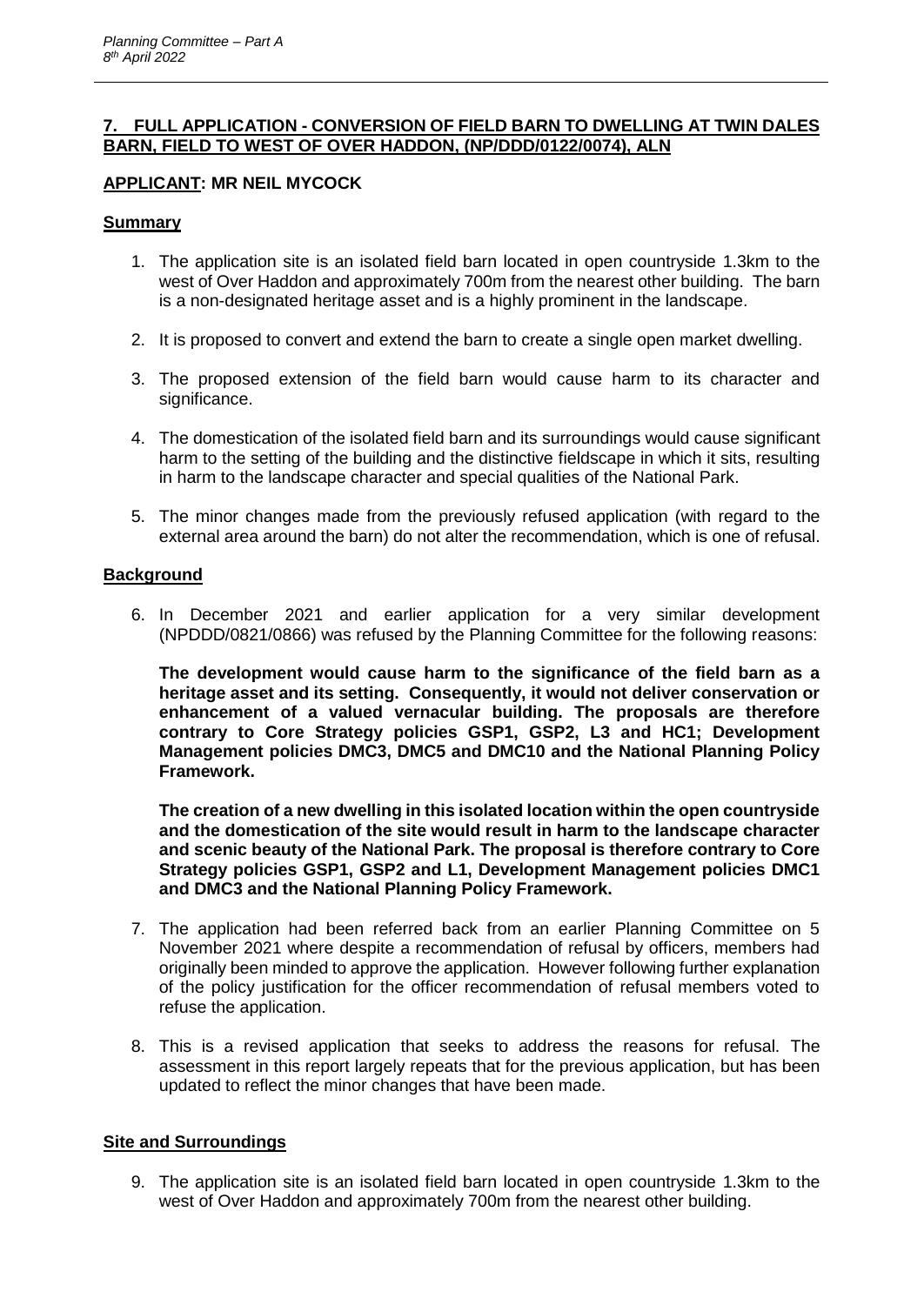#### **7. FULL APPLICATION - CONVERSION OF FIELD BARN TO DWELLING AT TWIN DALES BARN, FIELD TO WEST OF OVER HADDON, (NP/DDD/0122/0074), ALN**

# **APPLICANT: MR NEIL MYCOCK**

#### **Summary**

- 1. The application site is an isolated field barn located in open countryside 1.3km to the west of Over Haddon and approximately 700m from the nearest other building. The barn is a non-designated heritage asset and is a highly prominent in the landscape.
- 2. It is proposed to convert and extend the barn to create a single open market dwelling.
- 3. The proposed extension of the field barn would cause harm to its character and significance.
- 4. The domestication of the isolated field barn and its surroundings would cause significant harm to the setting of the building and the distinctive fieldscape in which it sits, resulting in harm to the landscape character and special qualities of the National Park.
- 5. The minor changes made from the previously refused application (with regard to the external area around the barn) do not alter the recommendation, which is one of refusal.

#### **Background**

6. In December 2021 and earlier application for a very similar development (NPDDD/0821/0866) was refused by the Planning Committee for the following reasons:

**The development would cause harm to the significance of the field barn as a heritage asset and its setting. Consequently, it would not deliver conservation or enhancement of a valued vernacular building. The proposals are therefore contrary to Core Strategy policies GSP1, GSP2, L3 and HC1; Development Management policies DMC3, DMC5 and DMC10 and the National Planning Policy Framework.**

**The creation of a new dwelling in this isolated location within the open countryside and the domestication of the site would result in harm to the landscape character and scenic beauty of the National Park. The proposal is therefore contrary to Core Strategy policies GSP1, GSP2 and L1, Development Management policies DMC1 and DMC3 and the National Planning Policy Framework.**

- 7. The application had been referred back from an earlier Planning Committee on 5 November 2021 where despite a recommendation of refusal by officers, members had originally been minded to approve the application. However following further explanation of the policy justification for the officer recommendation of refusal members voted to refuse the application.
- 8. This is a revised application that seeks to address the reasons for refusal. The assessment in this report largely repeats that for the previous application, but has been updated to reflect the minor changes that have been made.

### **Site and Surroundings**

9. The application site is an isolated field barn located in open countryside 1.3km to the west of Over Haddon and approximately 700m from the nearest other building.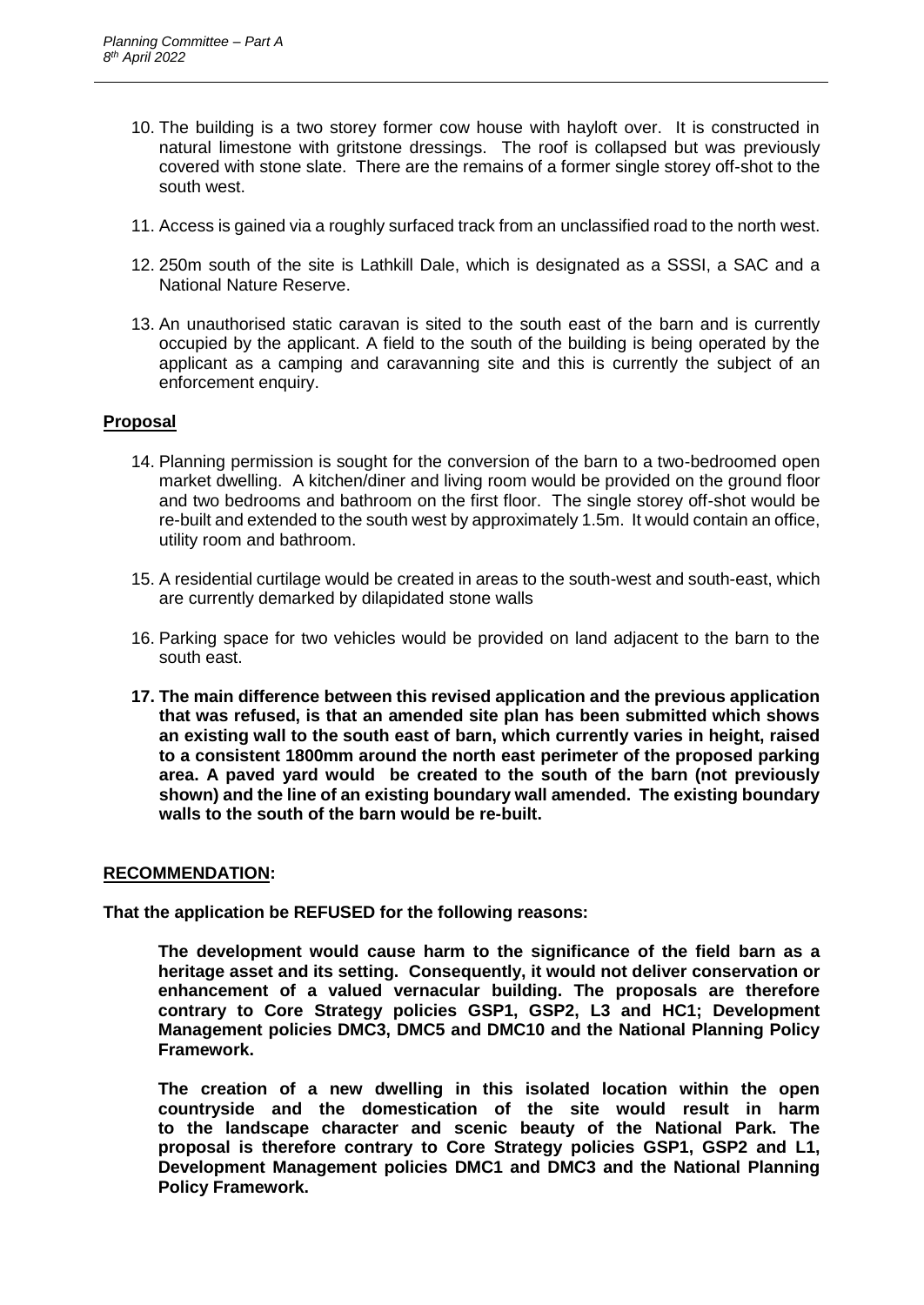- 10. The building is a two storey former cow house with hayloft over. It is constructed in natural limestone with gritstone dressings. The roof is collapsed but was previously covered with stone slate. There are the remains of a former single storey off-shot to the south west.
- 11. Access is gained via a roughly surfaced track from an unclassified road to the north west.
- 12. 250m south of the site is Lathkill Dale, which is designated as a SSSI, a SAC and a National Nature Reserve.
- 13. An unauthorised static caravan is sited to the south east of the barn and is currently occupied by the applicant. A field to the south of the building is being operated by the applicant as a camping and caravanning site and this is currently the subject of an enforcement enquiry.

### **Proposal**

- 14. Planning permission is sought for the conversion of the barn to a two-bedroomed open market dwelling. A kitchen/diner and living room would be provided on the ground floor and two bedrooms and bathroom on the first floor. The single storey off-shot would be re-built and extended to the south west by approximately 1.5m. It would contain an office, utility room and bathroom.
- 15. A residential curtilage would be created in areas to the south-west and south-east, which are currently demarked by dilapidated stone walls
- 16. Parking space for two vehicles would be provided on land adjacent to the barn to the south east.
- **17. The main difference between this revised application and the previous application that was refused, is that an amended site plan has been submitted which shows an existing wall to the south east of barn, which currently varies in height, raised to a consistent 1800mm around the north east perimeter of the proposed parking area. A paved yard would be created to the south of the barn (not previously shown) and the line of an existing boundary wall amended. The existing boundary walls to the south of the barn would be re-built.**

#### **RECOMMENDATION:**

**That the application be REFUSED for the following reasons:**

**The development would cause harm to the significance of the field barn as a heritage asset and its setting. Consequently, it would not deliver conservation or enhancement of a valued vernacular building. The proposals are therefore contrary to Core Strategy policies GSP1, GSP2, L3 and HC1; Development Management policies DMC3, DMC5 and DMC10 and the National Planning Policy Framework.**

**The creation of a new dwelling in this isolated location within the open countryside and the domestication of the site would result in harm to the landscape character and scenic beauty of the National Park. The proposal is therefore contrary to Core Strategy policies GSP1, GSP2 and L1, Development Management policies DMC1 and DMC3 and the National Planning Policy Framework.**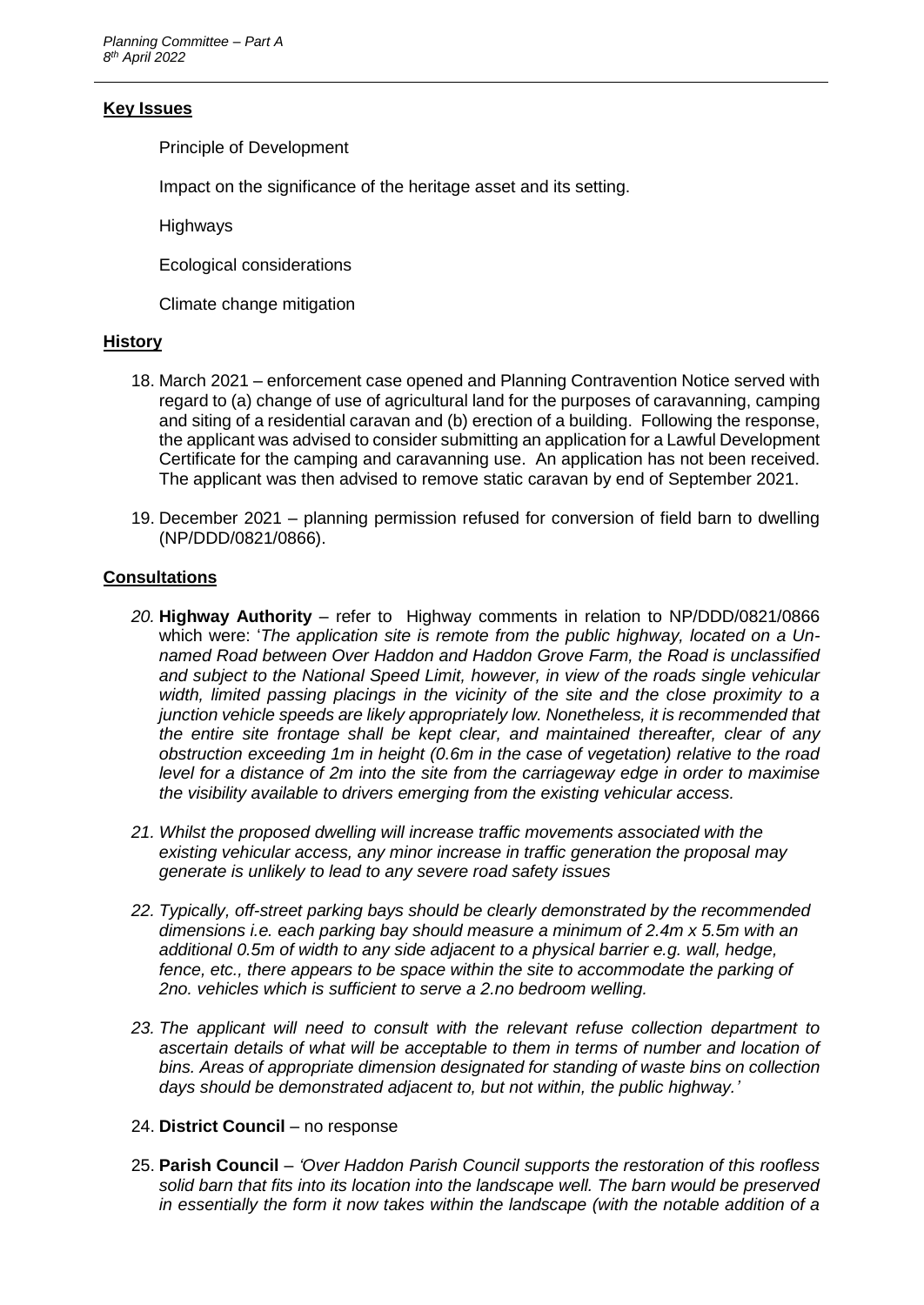### **Key Issues**

Principle of Development

Impact on the significance of the heritage asset and its setting.

Highways

Ecological considerations

Climate change mitigation

#### **History**

- 18. March 2021 enforcement case opened and Planning Contravention Notice served with regard to (a) change of use of agricultural land for the purposes of caravanning, camping and siting of a residential caravan and (b) erection of a building. Following the response, the applicant was advised to consider submitting an application for a Lawful Development Certificate for the camping and caravanning use. An application has not been received. The applicant was then advised to remove static caravan by end of September 2021.
- 19. December 2021 planning permission refused for conversion of field barn to dwelling (NP/DDD/0821/0866).

#### **Consultations**

- *20.* **Highway Authority** refer to Highway comments in relation to NP/DDD/0821/0866 which were: '*The application site is remote from the public highway, located on a Unnamed Road between Over Haddon and Haddon Grove Farm, the Road is unclassified and subject to the National Speed Limit, however, in view of the roads single vehicular width, limited passing placings in the vicinity of the site and the close proximity to a junction vehicle speeds are likely appropriately low. Nonetheless, it is recommended that the entire site frontage shall be kept clear, and maintained thereafter, clear of any obstruction exceeding 1m in height (0.6m in the case of vegetation) relative to the road level for a distance of 2m into the site from the carriageway edge in order to maximise the visibility available to drivers emerging from the existing vehicular access.*
- *21. Whilst the proposed dwelling will increase traffic movements associated with the existing vehicular access, any minor increase in traffic generation the proposal may generate is unlikely to lead to any severe road safety issues*
- *22. Typically, off-street parking bays should be clearly demonstrated by the recommended dimensions i.e. each parking bay should measure a minimum of 2.4m x 5.5m with an additional 0.5m of width to any side adjacent to a physical barrier e.g. wall, hedge, fence, etc., there appears to be space within the site to accommodate the parking of 2no. vehicles which is sufficient to serve a 2.no bedroom welling.*
- *23. The applicant will need to consult with the relevant refuse collection department to ascertain details of what will be acceptable to them in terms of number and location of bins. Areas of appropriate dimension designated for standing of waste bins on collection days should be demonstrated adjacent to, but not within, the public highway.'*

#### 24. **District Council** – no response

25. **Parish Council** – *'Over Haddon Parish Council supports the restoration of this roofless solid barn that fits into its location into the landscape well. The barn would be preserved in essentially the form it now takes within the landscape (with the notable addition of a*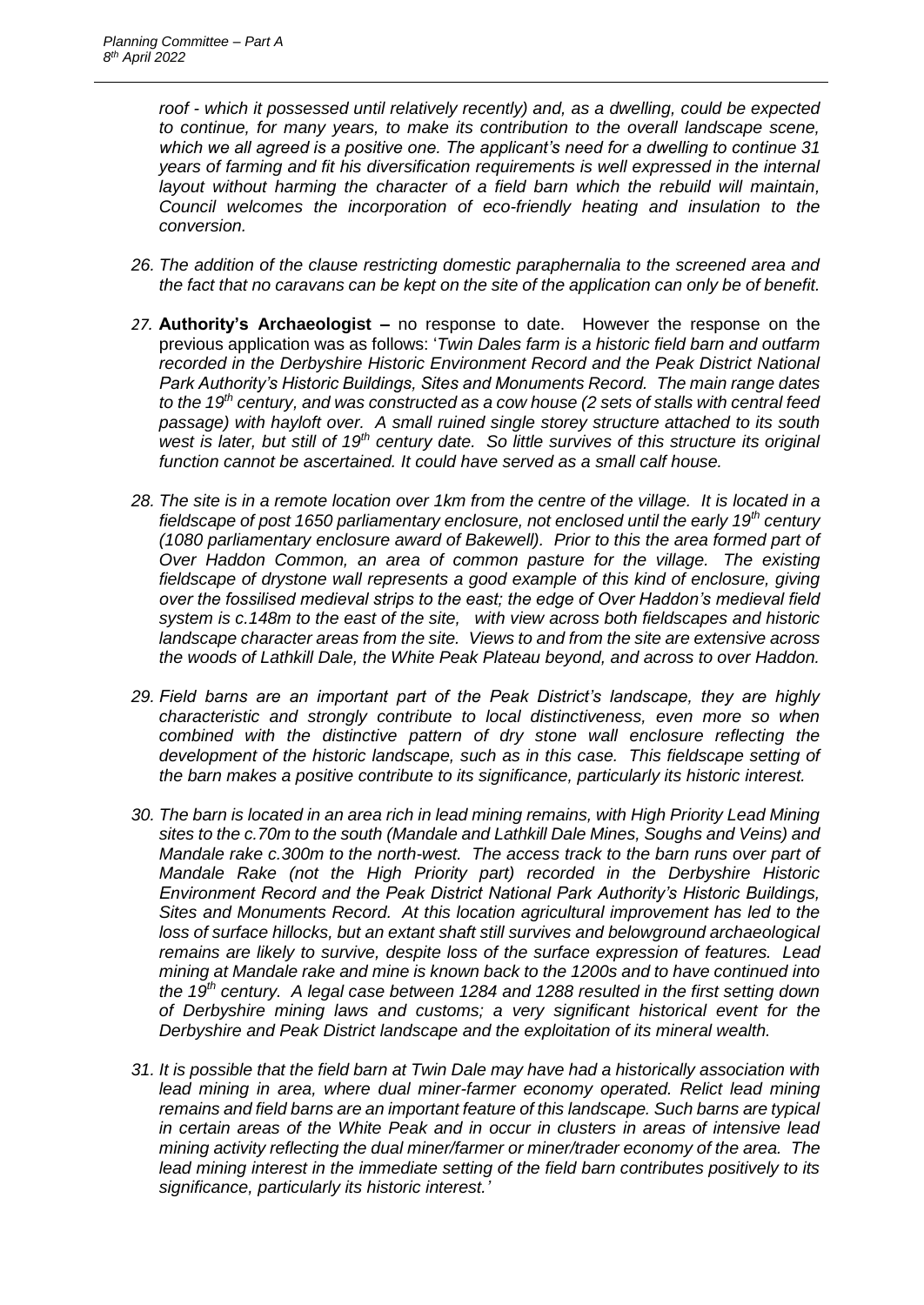*roof - which it possessed until relatively recently) and, as a dwelling, could be expected to continue, for many years, to make its contribution to the overall landscape scene, which we all agreed is a positive one. The applicant's need for a dwelling to continue 31 years of farming and fit his diversification requirements is well expressed in the internal layout without harming the character of a field barn which the rebuild will maintain, Council welcomes the incorporation of eco-friendly heating and insulation to the conversion.*

- *26. The addition of the clause restricting domestic paraphernalia to the screened area and the fact that no caravans can be kept on the site of the application can only be of benefit.*
- *27.* **Authority's Archaeologist –** no response to date. However the response on the previous application was as follows: '*Twin Dales farm is a historic field barn and outfarm recorded in the Derbyshire Historic Environment Record and the Peak District National Park Authority's Historic Buildings, Sites and Monuments Record. The main range dates to the 19th century, and was constructed as a cow house (2 sets of stalls with central feed passage) with hayloft over. A small ruined single storey structure attached to its south west is later, but still of 19th century date. So little survives of this structure its original function cannot be ascertained. It could have served as a small calf house.*
- *28. The site is in a remote location over 1km from the centre of the village. It is located in a fieldscape of post 1650 parliamentary enclosure, not enclosed until the early 19th century (1080 parliamentary enclosure award of Bakewell). Prior to this the area formed part of Over Haddon Common, an area of common pasture for the village. The existing fieldscape of drystone wall represents a good example of this kind of enclosure, giving over the fossilised medieval strips to the east; the edge of Over Haddon's medieval field system is c.148m to the east of the site, with view across both fieldscapes and historic landscape character areas from the site. Views to and from the site are extensive across the woods of Lathkill Dale, the White Peak Plateau beyond, and across to over Haddon.*
- *29. Field barns are an important part of the Peak District's landscape, they are highly characteristic and strongly contribute to local distinctiveness, even more so when combined with the distinctive pattern of dry stone wall enclosure reflecting the development of the historic landscape, such as in this case. This fieldscape setting of the barn makes a positive contribute to its significance, particularly its historic interest.*
- *30. The barn is located in an area rich in lead mining remains, with High Priority Lead Mining sites to the c.70m to the south (Mandale and Lathkill Dale Mines, Soughs and Veins) and Mandale rake c.300m to the north-west. The access track to the barn runs over part of Mandale Rake (not the High Priority part) recorded in the Derbyshire Historic Environment Record and the Peak District National Park Authority's Historic Buildings, Sites and Monuments Record. At this location agricultural improvement has led to the*  loss of surface hillocks, but an extant shaft still survives and belowground archaeological *remains are likely to survive, despite loss of the surface expression of features. Lead mining at Mandale rake and mine is known back to the 1200s and to have continued into the 19th century. A legal case between 1284 and 1288 resulted in the first setting down of Derbyshire mining laws and customs; a very significant historical event for the Derbyshire and Peak District landscape and the exploitation of its mineral wealth.*
- *31. It is possible that the field barn at Twin Dale may have had a historically association with*  lead mining in area, where dual miner-farmer economy operated. Relict lead mining *remains and field barns are an important feature of this landscape. Such barns are typical in certain areas of the White Peak and in occur in clusters in areas of intensive lead mining activity reflecting the dual miner/farmer or miner/trader economy of the area. The lead mining interest in the immediate setting of the field barn contributes positively to its significance, particularly its historic interest.'*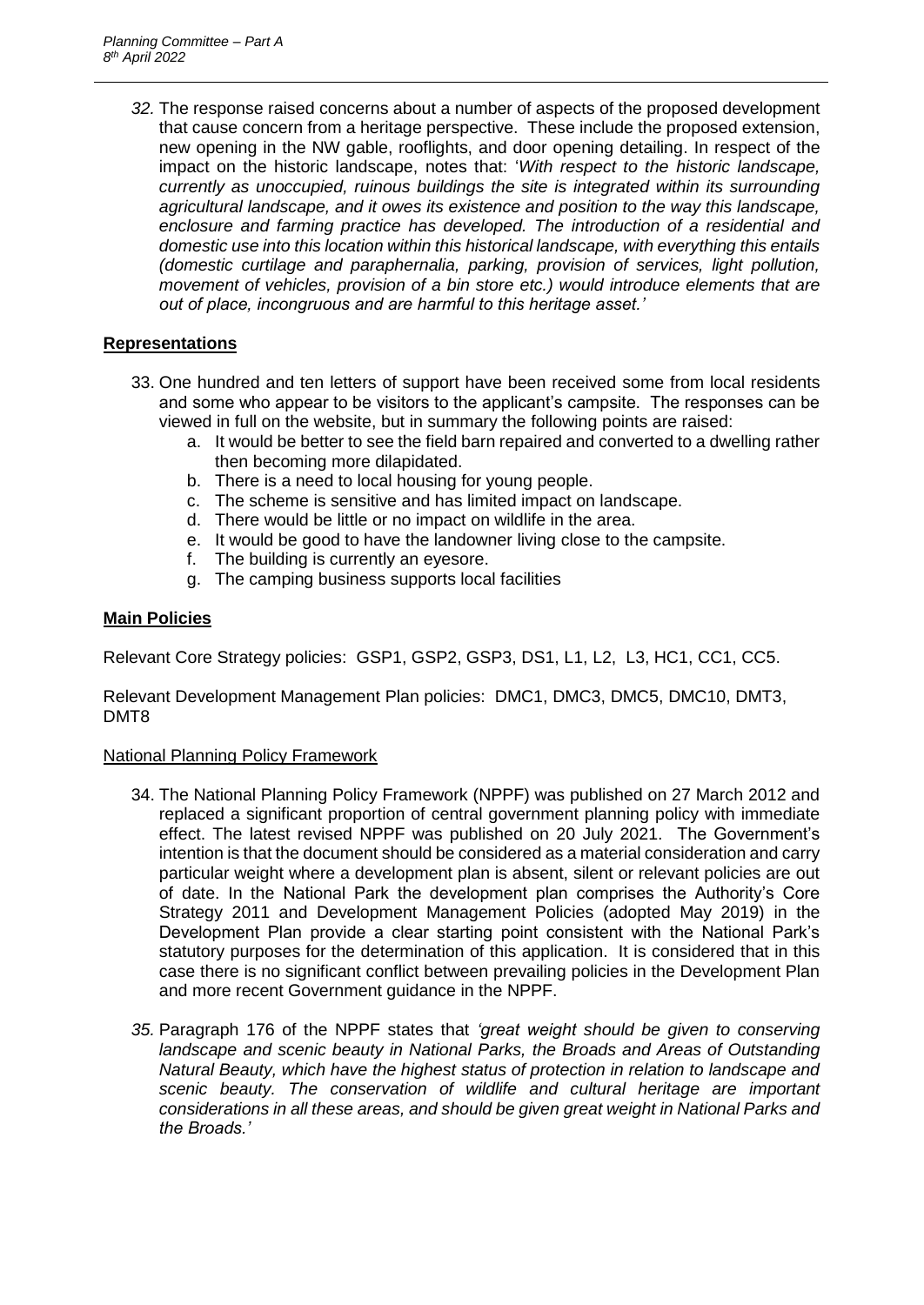*32.* The response raised concerns about a number of aspects of the proposed development that cause concern from a heritage perspective. These include the proposed extension, new opening in the NW gable, rooflights, and door opening detailing. In respect of the impact on the historic landscape, notes that: '*With respect to the historic landscape, currently as unoccupied, ruinous buildings the site is integrated within its surrounding agricultural landscape, and it owes its existence and position to the way this landscape, enclosure and farming practice has developed. The introduction of a residential and domestic use into this location within this historical landscape, with everything this entails (domestic curtilage and paraphernalia, parking, provision of services, light pollution, movement of vehicles, provision of a bin store etc.) would introduce elements that are out of place, incongruous and are harmful to this heritage asset.'*

# **Representations**

- 33. One hundred and ten letters of support have been received some from local residents and some who appear to be visitors to the applicant's campsite. The responses can be viewed in full on the website, but in summary the following points are raised:
	- a. It would be better to see the field barn repaired and converted to a dwelling rather then becoming more dilapidated.
	- b. There is a need to local housing for young people.
	- c. The scheme is sensitive and has limited impact on landscape.
	- d. There would be little or no impact on wildlife in the area.
	- e. It would be good to have the landowner living close to the campsite.
	- f. The building is currently an eyesore.
	- g. The camping business supports local facilities

## **Main Policies**

Relevant Core Strategy policies: GSP1, GSP2, GSP3, DS1, L1, L2, L3, HC1, CC1, CC5.

Relevant Development Management Plan policies: DMC1, DMC3, DMC5, DMC10, DMT3, DMT8

### National Planning Policy Framework

- 34. The National Planning Policy Framework (NPPF) was published on 27 March 2012 and replaced a significant proportion of central government planning policy with immediate effect. The latest revised NPPF was published on 20 July 2021. The Government's intention is that the document should be considered as a material consideration and carry particular weight where a development plan is absent, silent or relevant policies are out of date. In the National Park the development plan comprises the Authority's Core Strategy 2011 and Development Management Policies (adopted May 2019) in the Development Plan provide a clear starting point consistent with the National Park's statutory purposes for the determination of this application. It is considered that in this case there is no significant conflict between prevailing policies in the Development Plan and more recent Government guidance in the NPPF.
- *35.* Paragraph 176 of the NPPF states that *'great weight should be given to conserving landscape and scenic beauty in National Parks, the Broads and Areas of Outstanding Natural Beauty, which have the highest status of protection in relation to landscape and scenic beauty. The conservation of wildlife and cultural heritage are important considerations in all these areas, and should be given great weight in National Parks and the Broads.'*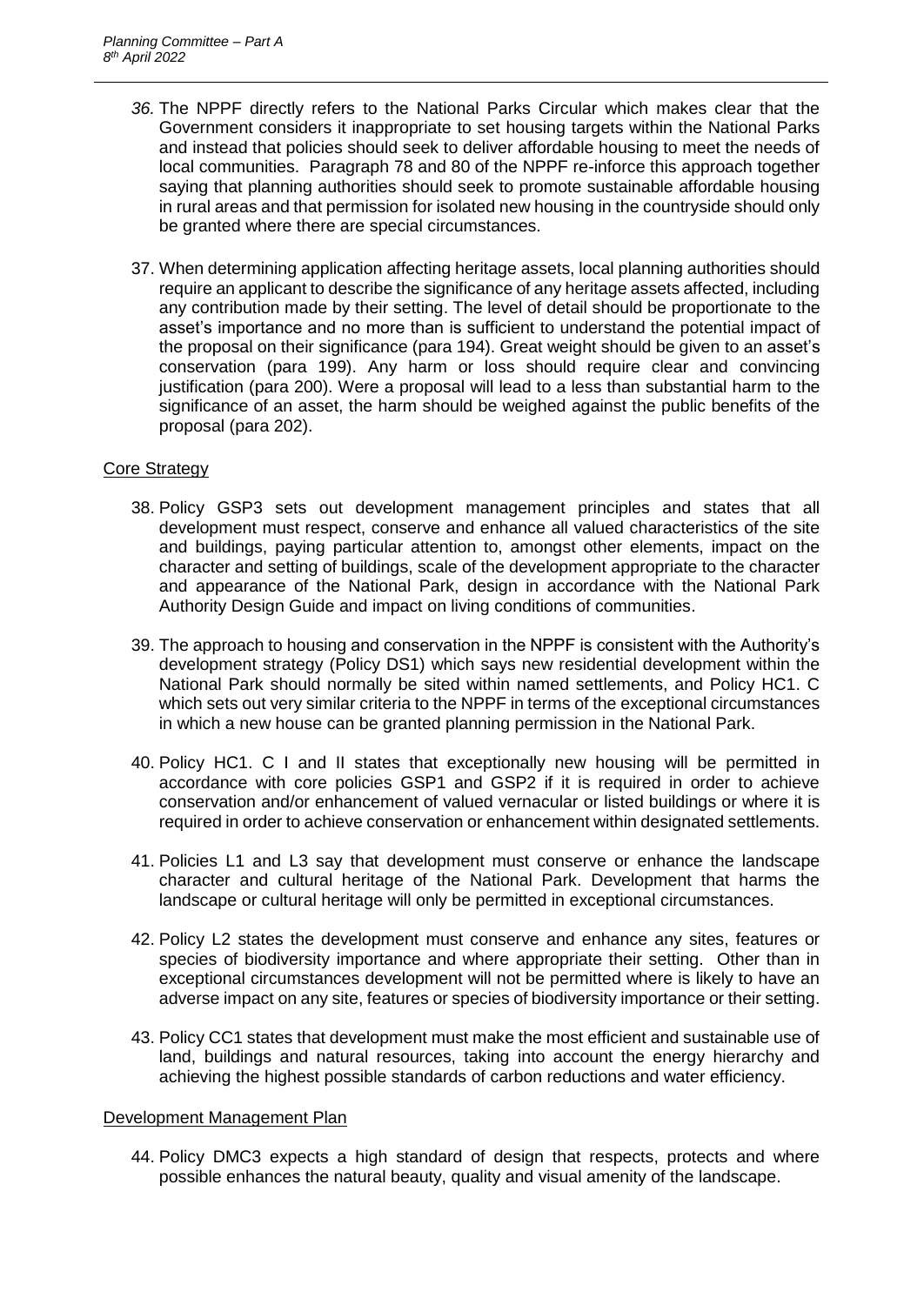- *36.* The NPPF directly refers to the National Parks Circular which makes clear that the Government considers it inappropriate to set housing targets within the National Parks and instead that policies should seek to deliver affordable housing to meet the needs of local communities. Paragraph 78 and 80 of the NPPF re-inforce this approach together saying that planning authorities should seek to promote sustainable affordable housing in rural areas and that permission for isolated new housing in the countryside should only be granted where there are special circumstances.
- 37. When determining application affecting heritage assets, local planning authorities should require an applicant to describe the significance of any heritage assets affected, including any contribution made by their setting. The level of detail should be proportionate to the asset's importance and no more than is sufficient to understand the potential impact of the proposal on their significance (para 194). Great weight should be given to an asset's conservation (para 199). Any harm or loss should require clear and convincing justification (para 200). Were a proposal will lead to a less than substantial harm to the significance of an asset, the harm should be weighed against the public benefits of the proposal (para 202).

## Core Strategy

- 38. Policy GSP3 sets out development management principles and states that all development must respect, conserve and enhance all valued characteristics of the site and buildings, paying particular attention to, amongst other elements, impact on the character and setting of buildings, scale of the development appropriate to the character and appearance of the National Park, design in accordance with the National Park Authority Design Guide and impact on living conditions of communities.
- 39. The approach to housing and conservation in the NPPF is consistent with the Authority's development strategy (Policy DS1) which says new residential development within the National Park should normally be sited within named settlements, and Policy HC1. C which sets out very similar criteria to the NPPF in terms of the exceptional circumstances in which a new house can be granted planning permission in the National Park.
- 40. Policy HC1. C I and II states that exceptionally new housing will be permitted in accordance with core policies GSP1 and GSP2 if it is required in order to achieve conservation and/or enhancement of valued vernacular or listed buildings or where it is required in order to achieve conservation or enhancement within designated settlements.
- 41. Policies L1 and L3 say that development must conserve or enhance the landscape character and cultural heritage of the National Park. Development that harms the landscape or cultural heritage will only be permitted in exceptional circumstances.
- 42. Policy L2 states the development must conserve and enhance any sites, features or species of biodiversity importance and where appropriate their setting. Other than in exceptional circumstances development will not be permitted where is likely to have an adverse impact on any site, features or species of biodiversity importance or their setting.
- 43. Policy CC1 states that development must make the most efficient and sustainable use of land, buildings and natural resources, taking into account the energy hierarchy and achieving the highest possible standards of carbon reductions and water efficiency.

### Development Management Plan

44. Policy DMC3 expects a high standard of design that respects, protects and where possible enhances the natural beauty, quality and visual amenity of the landscape.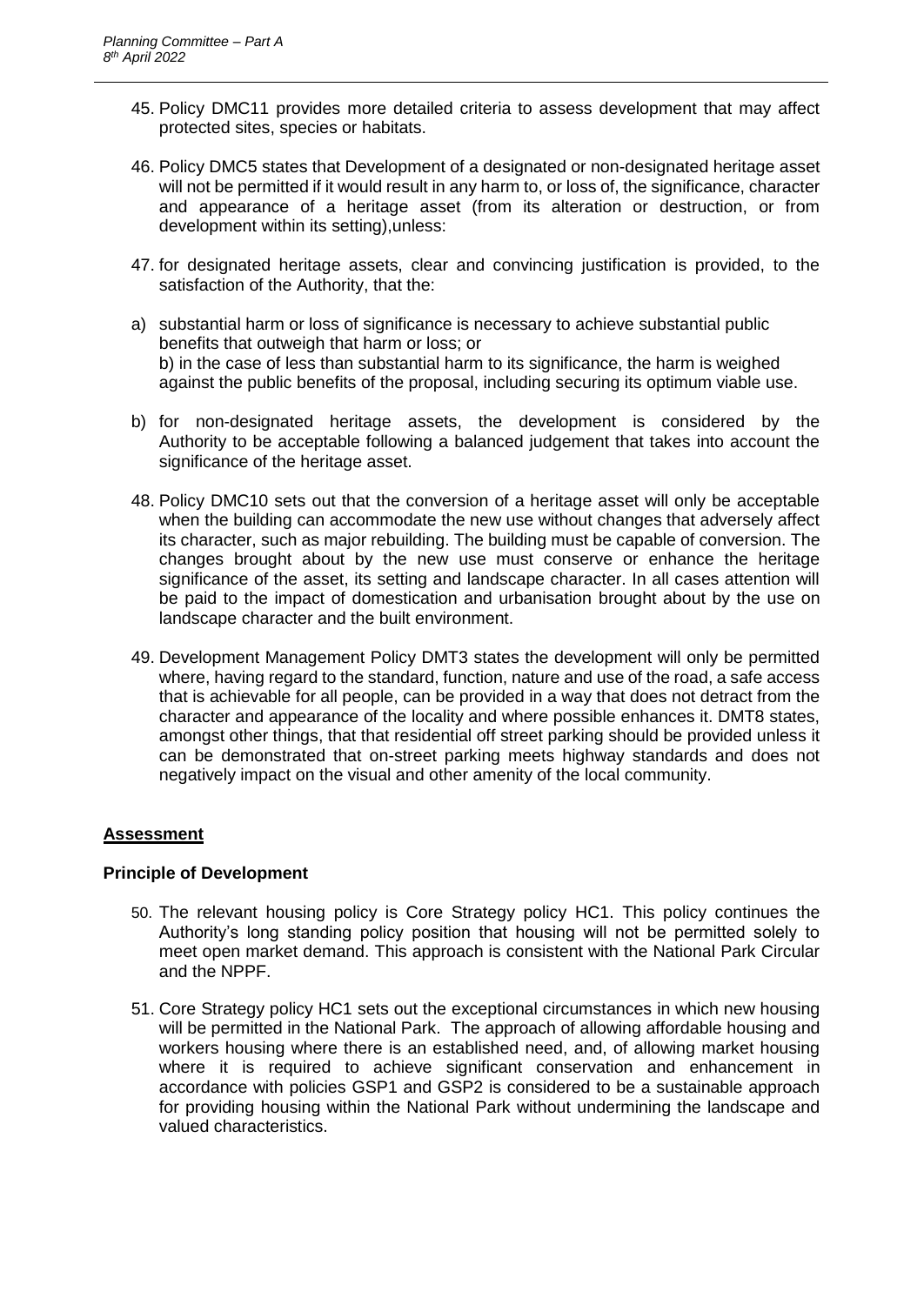- 45. Policy DMC11 provides more detailed criteria to assess development that may affect protected sites, species or habitats.
- 46. Policy DMC5 states that Development of a designated or non-designated heritage asset will not be permitted if it would result in any harm to, or loss of, the significance, character and appearance of a heritage asset (from its alteration or destruction, or from development within its setting),unless:
- 47. for designated heritage assets, clear and convincing justification is provided, to the satisfaction of the Authority, that the:
- a) substantial harm or loss of significance is necessary to achieve substantial public benefits that outweigh that harm or loss; or b) in the case of less than substantial harm to its significance, the harm is weighed against the public benefits of the proposal, including securing its optimum viable use.
- b) for non-designated heritage assets, the development is considered by the Authority to be acceptable following a balanced judgement that takes into account the significance of the heritage asset.
- 48. Policy DMC10 sets out that the conversion of a heritage asset will only be acceptable when the building can accommodate the new use without changes that adversely affect its character, such as major rebuilding. The building must be capable of conversion. The changes brought about by the new use must conserve or enhance the heritage significance of the asset, its setting and landscape character. In all cases attention will be paid to the impact of domestication and urbanisation brought about by the use on landscape character and the built environment.
- 49. Development Management Policy DMT3 states the development will only be permitted where, having regard to the standard, function, nature and use of the road, a safe access that is achievable for all people, can be provided in a way that does not detract from the character and appearance of the locality and where possible enhances it. DMT8 states, amongst other things, that that residential off street parking should be provided unless it can be demonstrated that on-street parking meets highway standards and does not negatively impact on the visual and other amenity of the local community.

### **Assessment**

### **Principle of Development**

- 50. The relevant housing policy is Core Strategy policy HC1. This policy continues the Authority's long standing policy position that housing will not be permitted solely to meet open market demand. This approach is consistent with the National Park Circular and the NPPF.
- 51. Core Strategy policy HC1 sets out the exceptional circumstances in which new housing will be permitted in the National Park. The approach of allowing affordable housing and workers housing where there is an established need, and, of allowing market housing where it is required to achieve significant conservation and enhancement in accordance with policies GSP1 and GSP2 is considered to be a sustainable approach for providing housing within the National Park without undermining the landscape and valued characteristics.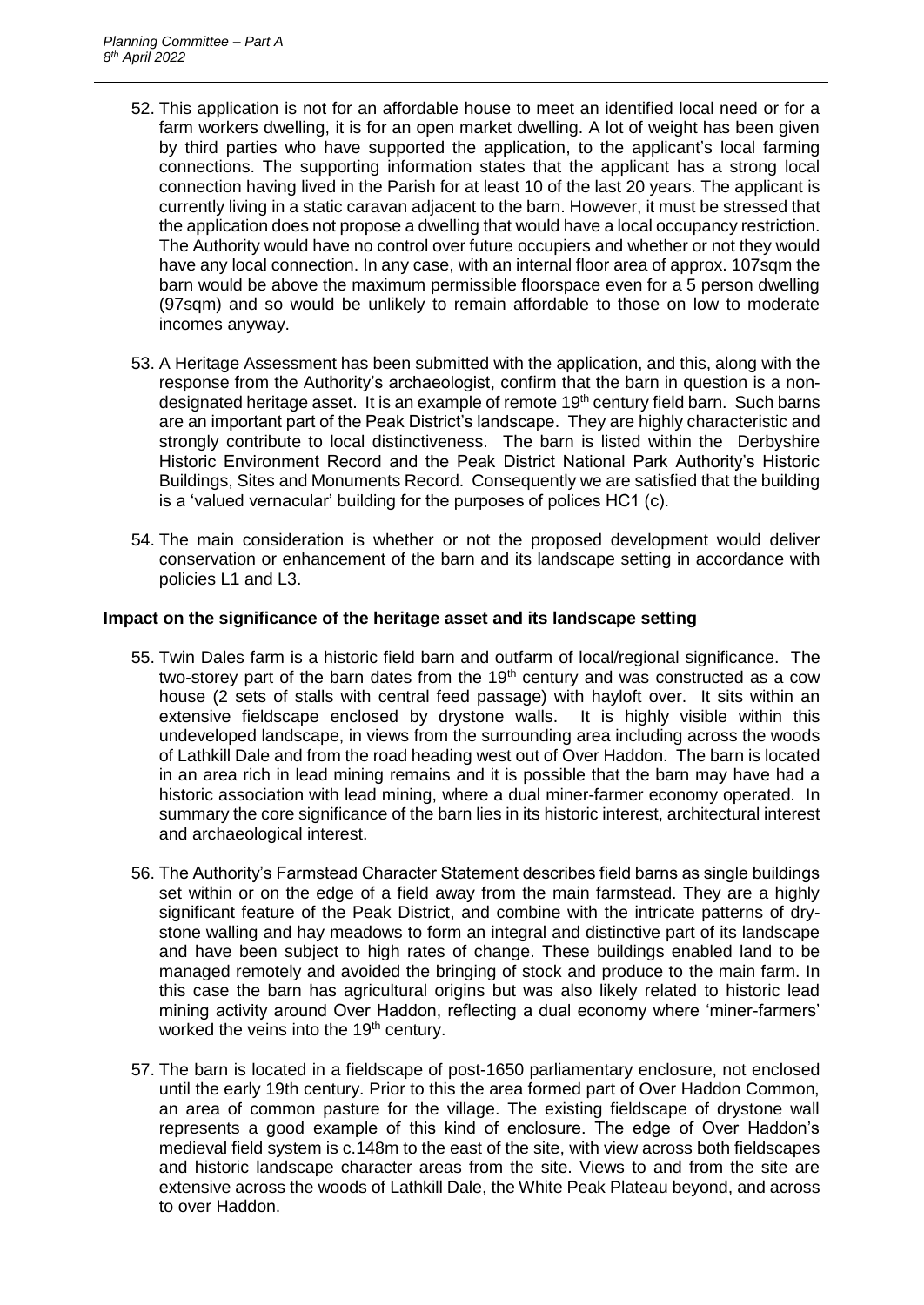- 52. This application is not for an affordable house to meet an identified local need or for a farm workers dwelling, it is for an open market dwelling. A lot of weight has been given by third parties who have supported the application, to the applicant's local farming connections. The supporting information states that the applicant has a strong local connection having lived in the Parish for at least 10 of the last 20 years. The applicant is currently living in a static caravan adjacent to the barn. However, it must be stressed that the application does not propose a dwelling that would have a local occupancy restriction. The Authority would have no control over future occupiers and whether or not they would have any local connection. In any case, with an internal floor area of approx. 107sqm the barn would be above the maximum permissible floorspace even for a 5 person dwelling (97sqm) and so would be unlikely to remain affordable to those on low to moderate incomes anyway.
- 53. A Heritage Assessment has been submitted with the application, and this, along with the response from the Authority's archaeologist, confirm that the barn in question is a nondesignated heritage asset. It is an example of remote 19<sup>th</sup> century field barn. Such barns are an important part of the Peak District's landscape. They are highly characteristic and strongly contribute to local distinctiveness. The barn is listed within the Derbyshire Historic Environment Record and the Peak District National Park Authority's Historic Buildings, Sites and Monuments Record. Consequently we are satisfied that the building is a 'valued vernacular' building for the purposes of polices HC1 (c).
- 54. The main consideration is whether or not the proposed development would deliver conservation or enhancement of the barn and its landscape setting in accordance with policies L1 and L3.

### **Impact on the significance of the heritage asset and its landscape setting**

- 55. Twin Dales farm is a historic field barn and outfarm of local/regional significance. The two-storey part of the barn dates from the  $19<sup>th</sup>$  century and was constructed as a cow house (2 sets of stalls with central feed passage) with hayloft over. It sits within an extensive fieldscape enclosed by drystone walls. It is highly visible within this undeveloped landscape, in views from the surrounding area including across the woods of Lathkill Dale and from the road heading west out of Over Haddon. The barn is located in an area rich in lead mining remains and it is possible that the barn may have had a historic association with lead mining, where a dual miner-farmer economy operated. In summary the core significance of the barn lies in its historic interest, architectural interest and archaeological interest.
- 56. The Authority's Farmstead Character Statement describes field barns as single buildings set within or on the edge of a field away from the main farmstead. They are a highly significant feature of the Peak District, and combine with the intricate patterns of drystone walling and hay meadows to form an integral and distinctive part of its landscape and have been subject to high rates of change. These buildings enabled land to be managed remotely and avoided the bringing of stock and produce to the main farm. In this case the barn has agricultural origins but was also likely related to historic lead mining activity around Over Haddon, reflecting a dual economy where 'miner-farmers' worked the veins into the 19<sup>th</sup> century.
- 57. The barn is located in a fieldscape of post-1650 parliamentary enclosure, not enclosed until the early 19th century. Prior to this the area formed part of Over Haddon Common, an area of common pasture for the village. The existing fieldscape of drystone wall represents a good example of this kind of enclosure. The edge of Over Haddon's medieval field system is c.148m to the east of the site, with view across both fieldscapes and historic landscape character areas from the site. Views to and from the site are extensive across the woods of Lathkill Dale, the White Peak Plateau beyond, and across to over Haddon.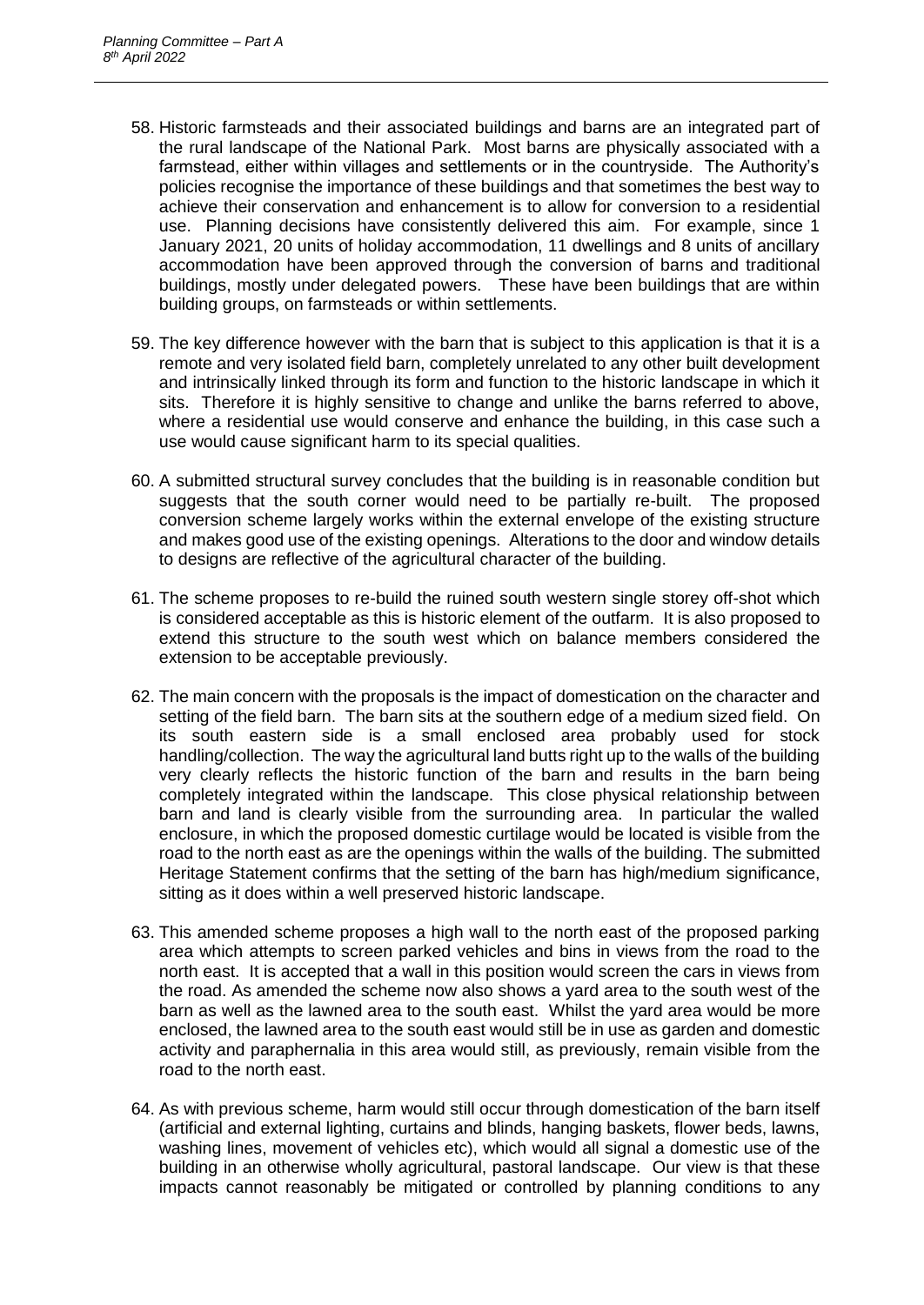- 58. Historic farmsteads and their associated buildings and barns are an integrated part of the rural landscape of the National Park. Most barns are physically associated with a farmstead, either within villages and settlements or in the countryside. The Authority's policies recognise the importance of these buildings and that sometimes the best way to achieve their conservation and enhancement is to allow for conversion to a residential use. Planning decisions have consistently delivered this aim. For example, since 1 January 2021, 20 units of holiday accommodation, 11 dwellings and 8 units of ancillary accommodation have been approved through the conversion of barns and traditional buildings, mostly under delegated powers. These have been buildings that are within building groups, on farmsteads or within settlements.
- 59. The key difference however with the barn that is subject to this application is that it is a remote and very isolated field barn, completely unrelated to any other built development and intrinsically linked through its form and function to the historic landscape in which it sits. Therefore it is highly sensitive to change and unlike the barns referred to above, where a residential use would conserve and enhance the building, in this case such a use would cause significant harm to its special qualities.
- 60. A submitted structural survey concludes that the building is in reasonable condition but suggests that the south corner would need to be partially re-built. The proposed conversion scheme largely works within the external envelope of the existing structure and makes good use of the existing openings. Alterations to the door and window details to designs are reflective of the agricultural character of the building.
- 61. The scheme proposes to re-build the ruined south western single storey off-shot which is considered acceptable as this is historic element of the outfarm. It is also proposed to extend this structure to the south west which on balance members considered the extension to be acceptable previously.
- 62. The main concern with the proposals is the impact of domestication on the character and setting of the field barn. The barn sits at the southern edge of a medium sized field. On its south eastern side is a small enclosed area probably used for stock handling/collection. The way the agricultural land butts right up to the walls of the building very clearly reflects the historic function of the barn and results in the barn being completely integrated within the landscape. This close physical relationship between barn and land is clearly visible from the surrounding area. In particular the walled enclosure, in which the proposed domestic curtilage would be located is visible from the road to the north east as are the openings within the walls of the building. The submitted Heritage Statement confirms that the setting of the barn has high/medium significance, sitting as it does within a well preserved historic landscape.
- 63. This amended scheme proposes a high wall to the north east of the proposed parking area which attempts to screen parked vehicles and bins in views from the road to the north east. It is accepted that a wall in this position would screen the cars in views from the road. As amended the scheme now also shows a yard area to the south west of the barn as well as the lawned area to the south east. Whilst the yard area would be more enclosed, the lawned area to the south east would still be in use as garden and domestic activity and paraphernalia in this area would still, as previously, remain visible from the road to the north east.
- 64. As with previous scheme, harm would still occur through domestication of the barn itself (artificial and external lighting, curtains and blinds, hanging baskets, flower beds, lawns, washing lines, movement of vehicles etc), which would all signal a domestic use of the building in an otherwise wholly agricultural, pastoral landscape. Our view is that these impacts cannot reasonably be mitigated or controlled by planning conditions to any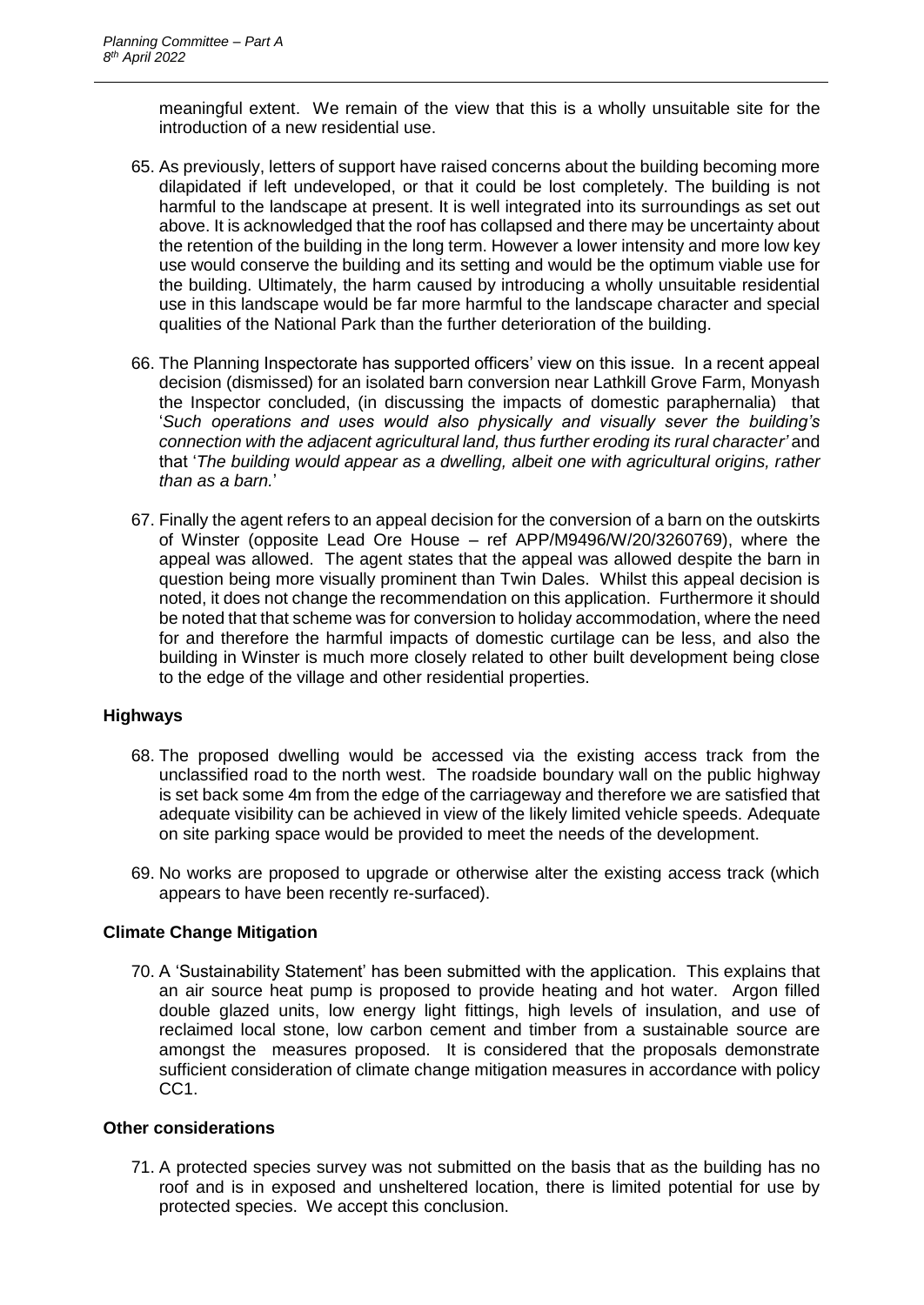meaningful extent. We remain of the view that this is a wholly unsuitable site for the introduction of a new residential use.

- 65. As previously, letters of support have raised concerns about the building becoming more dilapidated if left undeveloped, or that it could be lost completely. The building is not harmful to the landscape at present. It is well integrated into its surroundings as set out above. It is acknowledged that the roof has collapsed and there may be uncertainty about the retention of the building in the long term. However a lower intensity and more low key use would conserve the building and its setting and would be the optimum viable use for the building. Ultimately, the harm caused by introducing a wholly unsuitable residential use in this landscape would be far more harmful to the landscape character and special qualities of the National Park than the further deterioration of the building.
- 66. The Planning Inspectorate has supported officers' view on this issue. In a recent appeal decision (dismissed) for an isolated barn conversion near Lathkill Grove Farm, Monyash the Inspector concluded, (in discussing the impacts of domestic paraphernalia) that '*Such operations and uses would also physically and visually sever the building's connection with the adjacent agricultural land, thus further eroding its rural character'* and that '*The building would appear as a dwelling, albeit one with agricultural origins, rather than as a barn.*'
- 67. Finally the agent refers to an appeal decision for the conversion of a barn on the outskirts of Winster (opposite Lead Ore House – ref APP/M9496/W/20/3260769), where the appeal was allowed. The agent states that the appeal was allowed despite the barn in question being more visually prominent than Twin Dales. Whilst this appeal decision is noted, it does not change the recommendation on this application. Furthermore it should be noted that that scheme was for conversion to holiday accommodation, where the need for and therefore the harmful impacts of domestic curtilage can be less, and also the building in Winster is much more closely related to other built development being close to the edge of the village and other residential properties.

### **Highways**

- 68. The proposed dwelling would be accessed via the existing access track from the unclassified road to the north west. The roadside boundary wall on the public highway is set back some 4m from the edge of the carriageway and therefore we are satisfied that adequate visibility can be achieved in view of the likely limited vehicle speeds. Adequate on site parking space would be provided to meet the needs of the development.
- 69. No works are proposed to upgrade or otherwise alter the existing access track (which appears to have been recently re-surfaced).

# **Climate Change Mitigation**

70. A 'Sustainability Statement' has been submitted with the application. This explains that an air source heat pump is proposed to provide heating and hot water. Argon filled double glazed units, low energy light fittings, high levels of insulation, and use of reclaimed local stone, low carbon cement and timber from a sustainable source are amongst the measures proposed. It is considered that the proposals demonstrate sufficient consideration of climate change mitigation measures in accordance with policy CC1.

### **Other considerations**

71. A protected species survey was not submitted on the basis that as the building has no roof and is in exposed and unsheltered location, there is limited potential for use by protected species. We accept this conclusion.